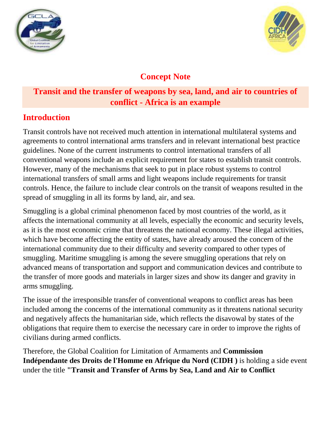



# **Concept Note**

## **Transit and the transfer of weapons by sea, land, and air to countries of conflict - Africa is an example**

## **Introduction**

Transit controls have not received much attention in international multilateral systems and agreements to control international arms transfers and in relevant international best practice guidelines. None of the current instruments to control international transfers of all conventional weapons include an explicit requirement for states to establish transit controls. However, many of the mechanisms that seek to put in place robust systems to control international transfers of small arms and light weapons include requirements for transit controls. Hence, the failure to include clear controls on the transit of weapons resulted in the spread of smuggling in all its forms by land, air, and sea.

Smuggling is a global criminal phenomenon faced by most countries of the world, as it affects the international community at all levels, especially the economic and security levels, as it is the most economic crime that threatens the national economy. These illegal activities, which have become affecting the entity of states, have already aroused the concern of the international community due to their difficulty and severity compared to other types of smuggling. Maritime smuggling is among the severe smuggling operations that rely on advanced means of transportation and support and communication devices and contribute to the transfer of more goods and materials in larger sizes and show its danger and gravity in arms smuggling.

The issue of the irresponsible transfer of conventional weapons to conflict areas has been included among the concerns of the international community as it threatens national security and negatively affects the humanitarian side, which reflects the disavowal by states of the obligations that require them to exercise the necessary care in order to improve the rights of civilians during armed conflicts.

Therefore, the Global Coalition for Limitation of Armaments and **Commission Indépendante des Droits de l'Homme en Afrique du Nord (CIDH )** is holding a side event under the title **"Transit and Transfer of Arms by Sea, Land and Air to Conflict**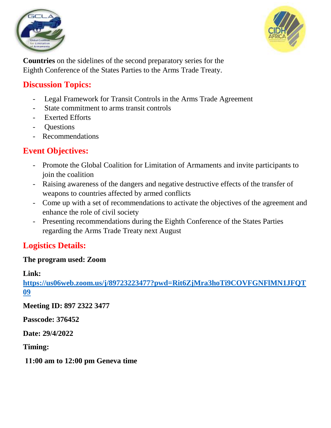



**Countries** on the sidelines of the second preparatory series for the Eighth Conference of the States Parties to the Arms Trade Treaty.

## **Discussion Topics:**

- Legal Framework for Transit Controls in the Arms Trade Agreement
- State commitment to arms transit controls
- Exerted Efforts
- Questions
- Recommendations

# **Event Objectives:**

- Promote the Global Coalition for Limitation of Armaments and invite participants to join the coalition
- Raising awareness of the dangers and negative destructive effects of the transfer of weapons to countries affected by armed conflicts
- Come up with a set of recommendations to activate the objectives of the agreement and enhance the role of civil society
- Presenting recommendations during the Eighth Conference of the States Parties regarding the Arms Trade Treaty next August

## **Logistics Details:**

## **The program used: Zoom**

#### **Link:**

**[https://us06web.zoom.us/j/89723223477?pwd=Rit6ZjMra3hoTi9COVFGNFlMN1JFQT](https://us06web.zoom.us/j/89723223477?pwd=Rit6ZjMra3hoTi9COVFGNFlMN1JFQT09) [09](https://us06web.zoom.us/j/89723223477?pwd=Rit6ZjMra3hoTi9COVFGNFlMN1JFQT09)**

**Meeting ID: 897 2322 3477**

**Passcode: 376452**

**Date: 29/4/2022**

**Timing:** 

**11:00 am to 12:00 pm Geneva time**